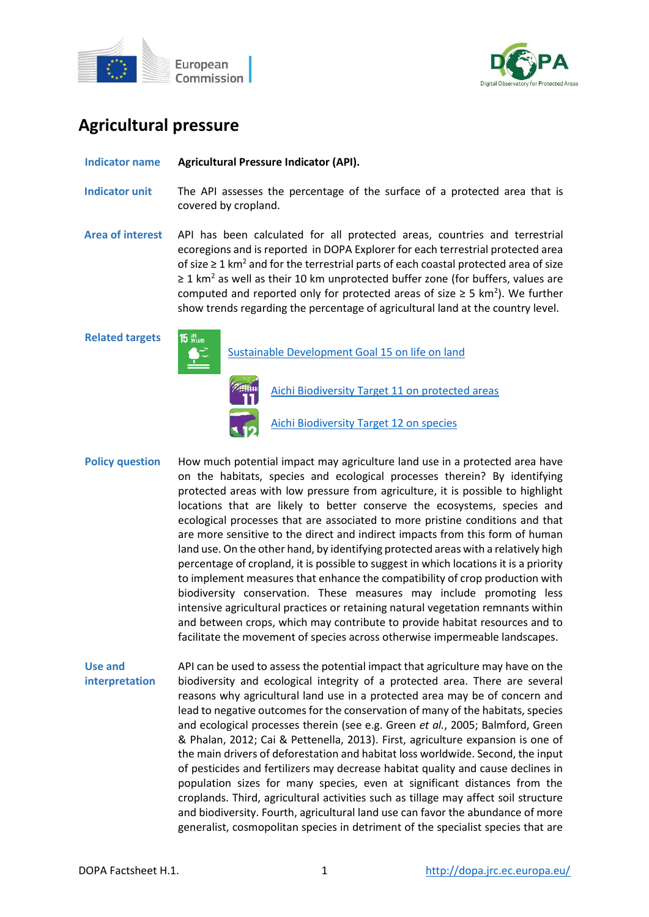



# **Agricultural pressure**

**Indicator name Agricultural Pressure Indicator (API).**

- **Indicator unit** The API assesses the percentage of the surface of a protected area that is covered by cropland.
- **Area of interest** API has been calculated for all protected areas, countries and terrestrial ecoregions and is reported in DOPA Explorer for each terrestrial protected area of size  $\geq 1$  km<sup>2</sup> and for the terrestrial parts of each coastal protected area of size  $\geq 1$  km<sup>2</sup> as well as their 10 km unprotected buffer zone (for buffers, values are computed and reported only for protected areas of size  $\geq$  5 km<sup>2</sup>). We further show trends regarding the percentage of agricultural land at the country level.

**Related targets**



[Sustainable Development Goal 15 on life on land](https://sdgs.un.org/goals/goal15)



[Aichi Biodiversity Target 11 on protected areas](http://www.cbd.int/sp/targets/rationale/target-11/)

[Aichi Biodiversity Target 12 on species](http://www.cbd.int/sp/targets/rationale/target-12/)

- Policy question How much potential impact may agriculture land use in a protected area have on the habitats, species and ecological processes therein? By identifying protected areas with low pressure from agriculture, it is possible to highlight locations that are likely to better conserve the ecosystems, species and ecological processes that are associated to more pristine conditions and that are more sensitive to the direct and indirect impacts from this form of human land use. On the other hand, by identifying protected areas with a relatively high percentage of cropland, it is possible to suggest in which locations it is a priority to implement measures that enhance the compatibility of crop production with biodiversity conservation. These measures may include promoting less intensive agricultural practices or retaining natural vegetation remnants within and between crops, which may contribute to provide habitat resources and to facilitate the movement of species across otherwise impermeable landscapes.
- **Use and interpretation** API can be used to assess the potential impact that agriculture may have on the biodiversity and ecological integrity of a protected area. There are several reasons why agricultural land use in a protected area may be of concern and lead to negative outcomes for the conservation of many of the habitats, species and ecological processes therein (see e.g. Green *et al.*, 2005; Balmford, Green & Phalan, 2012; Cai & Pettenella, 2013). First, agriculture expansion is one of the main drivers of deforestation and habitat loss worldwide. Second, the input of pesticides and fertilizers may decrease habitat quality and cause declines in population sizes for many species, even at significant distances from the croplands. Third, agricultural activities such as tillage may affect soil structure and biodiversity. Fourth, agricultural land use can favor the abundance of more generalist, cosmopolitan species in detriment of the specialist species that are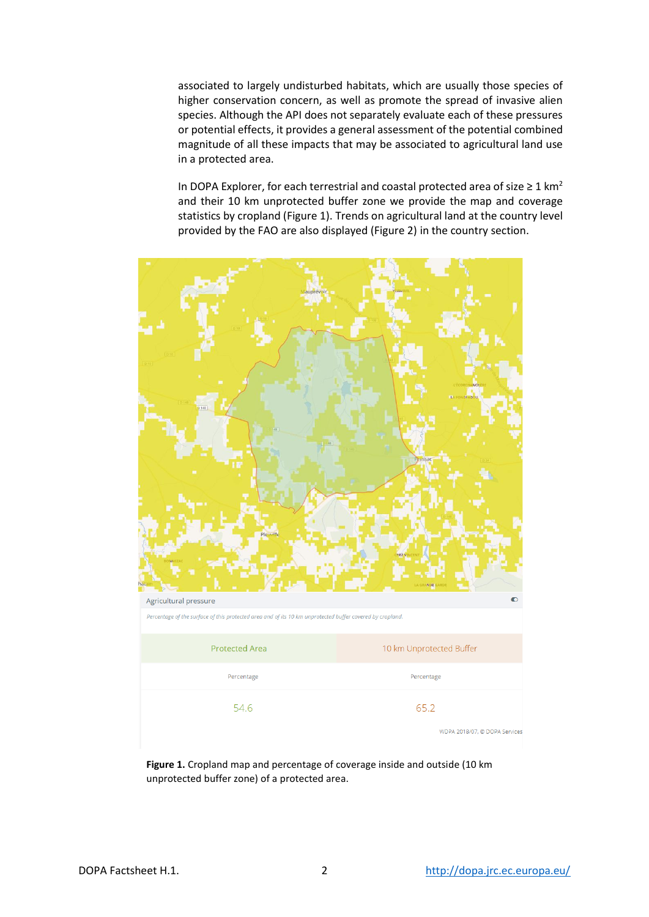associated to largely undisturbed habitats, which are usually those species of higher conservation concern, as well as promote the spread of invasive alien species. Although the API does not separately evaluate each of these pressures or potential effects, it provides a general assessment of the potential combined magnitude of all these impacts that may be associated to agricultural land use in a protected area.

In DOPA Explorer, for each terrestrial and coastal protected area of size  $\geq 1$  km<sup>2</sup> and their 10 km unprotected buffer zone we provide the map and coverage statistics by cropland (Figure 1). Trends on agricultural land at the country level provided by the FAO are also displayed (Figure 2) in the country section.



**Figure 1.** Cropland map and percentage of coverage inside and outside (10 km unprotected buffer zone) of a protected area.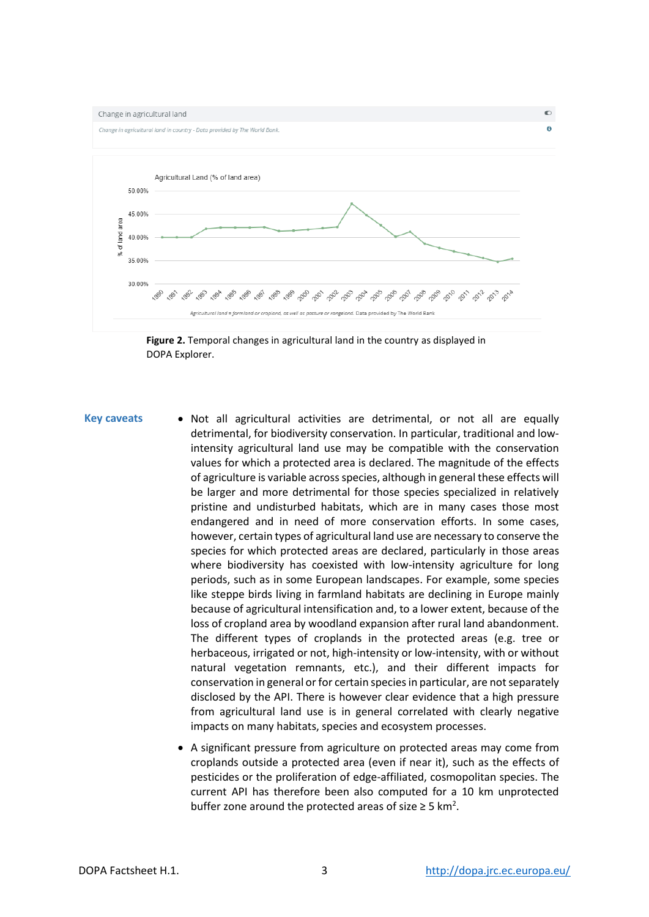

**Figure 2.** Temporal changes in agricultural land in the country as displayed in DOPA Explorer.

- Key caveats Not all agricultural activities are detrimental, or not all are equally detrimental, for biodiversity conservation. In particular, traditional and lowintensity agricultural land use may be compatible with the conservation values for which a protected area is declared. The magnitude of the effects of agriculture is variable across species, although in general these effects will be larger and more detrimental for those species specialized in relatively pristine and undisturbed habitats, which are in many cases those most endangered and in need of more conservation efforts. In some cases, however, certain types of agricultural land use are necessary to conserve the species for which protected areas are declared, particularly in those areas where biodiversity has coexisted with low-intensity agriculture for long periods, such as in some European landscapes. For example, some species like steppe birds living in farmland habitats are declining in Europe mainly because of agricultural intensification and, to a lower extent, because of the loss of cropland area by woodland expansion after rural land abandonment. The different types of croplands in the protected areas (e.g. tree or herbaceous, irrigated or not, high-intensity or low-intensity, with or without natural vegetation remnants, etc.), and their different impacts for conservation in general or for certain species in particular, are not separately disclosed by the API. There is however clear evidence that a high pressure from agricultural land use is in general correlated with clearly negative impacts on many habitats, species and ecosystem processes.
	- A significant pressure from agriculture on protected areas may come from croplands outside a protected area (even if near it), such as the effects of pesticides or the proliferation of edge-affiliated, cosmopolitan species. The current API has therefore been also computed for a 10 km unprotected buffer zone around the protected areas of size  $\geq 5$  km<sup>2</sup>.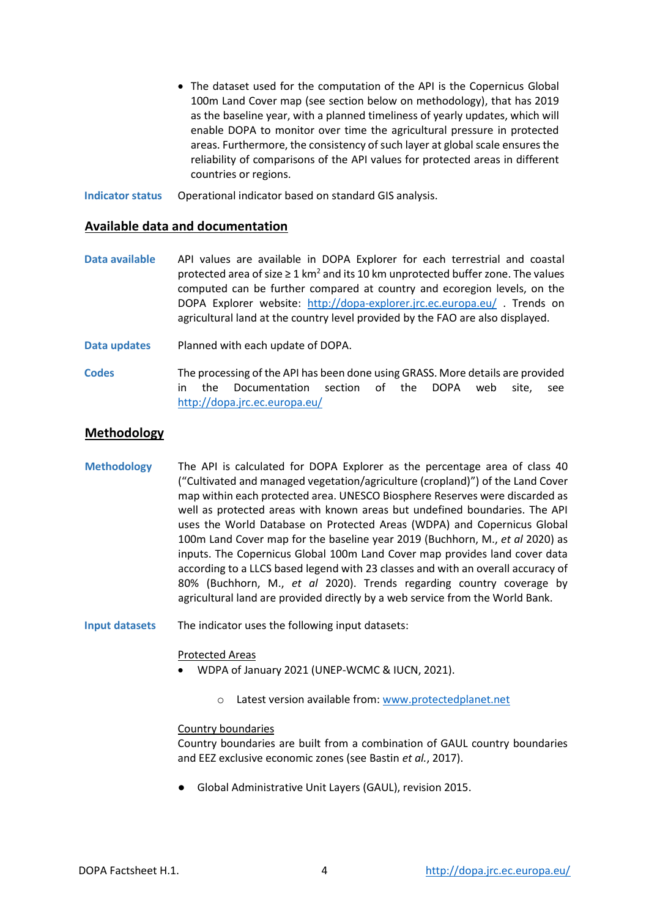- The dataset used for the computation of the API is the Copernicus Global 100m Land Cover map (see section below on methodology), that has 2019 as the baseline year, with a planned timeliness of yearly updates, which will enable DOPA to monitor over time the agricultural pressure in protected areas. Furthermore, the consistency of such layer at global scale ensures the reliability of comparisons of the API values for protected areas in different countries or regions.
- **Indicator status** Operational indicator based on standard GIS analysis.

## **Available data and documentation**

- **Data available** API values are available in DOPA Explorer for each terrestrial and coastal protected area of size  $\geq 1$  km<sup>2</sup> and its 10 km unprotected buffer zone. The values computed can be further compared at country and ecoregion levels, on the DOPA Explorer website: <http://dopa-explorer.jrc.ec.europa.eu/> . Trends on agricultural land at the country level provided by the FAO are also displayed.
- **Data updates** Planned with each update of DOPA.
- **Codes** The processing of the API has been done using GRASS. More details are provided in the Documentation section of the DOPA web site, see <http://dopa.jrc.ec.europa.eu/>

## **Methodology**

- **Methodology** The API is calculated for DOPA Explorer as the percentage area of class 40 ("Cultivated and managed vegetation/agriculture (cropland)") of the Land Cover map within each protected area. UNESCO Biosphere Reserves were discarded as well as protected areas with known areas but undefined boundaries. The API uses the World Database on Protected Areas (WDPA) and Copernicus Global 100m Land Cover map for the baseline year 2019 (Buchhorn, M., *et al* 2020) as inputs. The Copernicus Global 100m Land Cover map provides land cover data according to a LLCS based legend with 23 classes and with an overall accuracy of 80% (Buchhorn, M., *et al* 2020). Trends regarding country coverage by agricultural land are provided directly by a web service from the World Bank.
- **Input datasets** The indicator uses the following input datasets:

### Protected Areas

- WDPA of January 2021 (UNEP-WCMC & IUCN, 2021).
	- o Latest version available from: [www.protectedplanet.net](http://www.protectedplanet.net/)

### Country boundaries

Country boundaries are built from a combination of GAUL country boundaries and EEZ exclusive economic zones (see Bastin *et al.*, 2017).

Global Administrative Unit Layers (GAUL), revision 2015.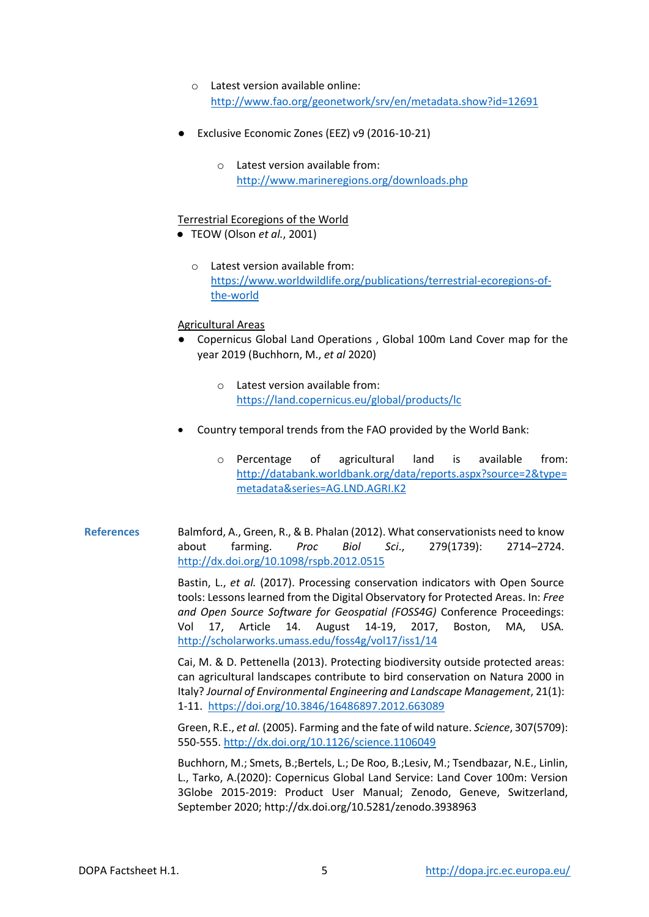- o Latest version available online: <http://www.fao.org/geonetwork/srv/en/metadata.show?id=12691>
- Exclusive Economic Zones (EEZ) v9 (2016-10-21)
	- o Latest version available from: <http://www.marineregions.org/downloads.php>

#### Terrestrial Ecoregions of the World

- TEOW (Olson *et al.*, 2001)
	- o Latest version available from: [https://www.worldwildlife.org/publications/terrestrial-ecoregions-of](https://www.worldwildlife.org/publications/terrestrial-ecoregions-of-the-world)[the-world](https://www.worldwildlife.org/publications/terrestrial-ecoregions-of-the-world)

#### Agricultural Areas

- Copernicus Global Land Operations, Global 100m Land Cover map for the year 2019 (Buchhorn, M., *et al* 2020)
	- o Latest version available from: <https://land.copernicus.eu/global/products/lc>
- Country temporal trends from the FAO provided by the World Bank:
	- o Percentage of agricultural land is available from: [http://databank.worldbank.org/data/reports.aspx?source=2&type=](http://databank.worldbank.org/data/reports.aspx?source=2&type=metadata&series=AG.LND.AGRI.K2) [metadata&series=AG.LND.AGRI.K2](http://databank.worldbank.org/data/reports.aspx?source=2&type=metadata&series=AG.LND.AGRI.K2)
- **References** Balmford, A., Green, R., & B. Phalan (2012). What conservationists need to know about farming. *Proc Biol Sci*., 279(1739): 2714–2724. <http://dx.doi.org/10.1098/rspb.2012.0515>

Bastin, L., *et al.* (2017). Processing conservation indicators with Open Source tools: Lessons learned from the Digital Observatory for Protected Areas. In: *Free and Open Source Software for Geospatial (FOSS4G)* Conference Proceedings: Vol 17, Article 14. August 14-19, 2017, Boston, MA, USA. <http://scholarworks.umass.edu/foss4g/vol17/iss1/14>

Cai, M. & D. Pettenella (2013). Protecting biodiversity outside protected areas: can agricultural landscapes contribute to bird conservation on Natura 2000 in Italy? *Journal of Environmental Engineering and Landscape Management*, 21(1): 1-11. <https://doi.org/10.3846/16486897.2012.663089>

Green, R.E., *et al.* (2005). Farming and the fate of wild nature. *Science*, 307(5709): 550-555. <http://dx.doi.org/10.1126/science.1106049>

Buchhorn, M.; Smets, B.;Bertels, L.; De Roo, B.;Lesiv, M.; Tsendbazar, N.E., Linlin, L., Tarko, A.(2020): Copernicus Global Land Service: Land Cover 100m: Version 3Globe 2015-2019: Product User Manual; Zenodo, Geneve, Switzerland, September 2020; http://dx.doi.org/10.5281/zenodo.3938963